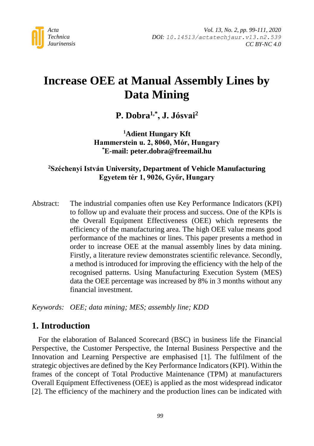

# **Increase OEE at Manual Assembly Lines by Data Mining**

**P. Dobra1,\* , J. Jósvai<sup>2</sup>**

**<sup>1</sup>Adient Hungary Kft Hammerstein u. 2, 8060, Mór, Hungary \*E-mail: peter.dobra@freemail.hu**

**<sup>2</sup>Széchenyi István University, Department of Vehicle Manufacturing Egyetem tér 1, 9026, Győr, Hungary** 

Abstract: The industrial companies often use Key Performance Indicators (KPI) to follow up and evaluate their process and success. One of the KPIs is the Overall Equipment Effectiveness (OEE) which represents the efficiency of the manufacturing area. The high OEE value means good performance of the machines or lines. This paper presents a method in order to increase OEE at the manual assembly lines by data mining. Firstly, a literature review demonstrates scientific relevance. Secondly, a method is introduced for improving the efficiency with the help of the recognised patterns. Using Manufacturing Execution System (MES) data the OEE percentage was increased by 8% in 3 months without any financial investment.

*Keywords: OEE; data mining; MES; assembly line; KDD*

# **1. Introduction**

For the elaboration of Balanced Scorecard (BSC) in business life the Financial Perspective, the Customer Perspective, the Internal Business Perspective and the Innovation and Learning Perspective are emphasised [1]. The fulfilment of the strategic objectives are defined by the Key Performance Indicators (KPI). Within the frames of the concept of Total Productive Maintenance (TPM) at manufacturers Overall Equipment Effectiveness (OEE) is applied as the most widespread indicator [2]. The efficiency of the machinery and the production lines can be indicated with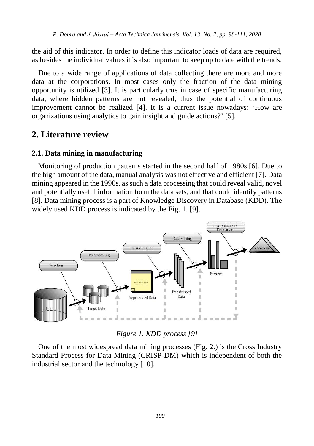the aid of this indicator. In order to define this indicator loads of data are required, as besides the individual values it is also important to keep up to date with the trends.

Due to a wide range of applications of data collecting there are more and more data at the corporations. In most cases only the fraction of the data mining opportunity is utilized [3]. It is particularly true in case of specific manufacturing data, where hidden patterns are not revealed, thus the potential of continuous improvement cannot be realized [4]. It is a current issue nowadays: 'How are organizations using analytics to gain insight and guide actions?' [5].

## **2. Literature review**

### **2.1. Data mining in manufacturing**

Monitoring of production patterns started in the second half of 1980s [6]. Due to the high amount of the data, manual analysis was not effective and efficient [7]. Data mining appeared in the 1990s, as such a data processing that could reveal valid, novel and potentially useful information form the data sets, and that could identify patterns [8]. Data mining process is a part of Knowledge Discovery in Database (KDD). The widely used KDD process is indicated by the Fig. 1. [9].



*Figure 1. KDD process [9]*

One of the most widespread data mining processes (Fig. 2.) is the Cross Industry Standard Process for Data Mining (CRISP-DM) which is independent of both the industrial sector and the technology [10].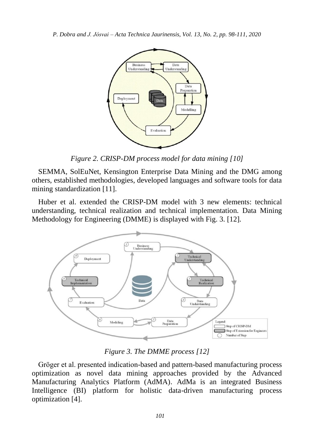

*Figure 2. CRISP-DM process model for data mining [10]*

SEMMA, SolEuNet, Kensington Enterprise Data Mining and the DMG among others, established methodologies, developed languages and software tools for data mining standardization [11].

Huber et al. extended the CRISP-DM model with 3 new elements: technical understanding, technical realization and technical implementation. Data Mining Methodology for Engineering (DMME) is displayed with Fig. 3. [12].



*Figure 3. The DMME process [12]*

Gröger et al. presented indication-based and pattern-based manufacturing process optimization as novel data mining approaches provided by the Advanced Manufacturing Analytics Platform (AdMA). AdMa is an integrated Business Intelligence (BI) platform for holistic data-driven manufacturing process optimization [4].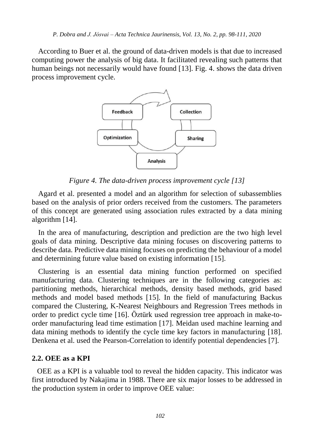According to Buer et al. the ground of data-driven models is that due to increased computing power the analysis of big data. It facilitated revealing such patterns that human beings not necessarily would have found [13]. Fig. 4. shows the data driven process improvement cycle.



*Figure 4. The data-driven process improvement cycle [13]*

Agard et al. presented a model and an algorithm for selection of subassemblies based on the analysis of prior orders received from the customers. The parameters of this concept are generated using association rules extracted by a data mining algorithm [14].

In the area of manufacturing, description and prediction are the two high level goals of data mining. Descriptive data mining focuses on discovering patterns to describe data. Predictive data mining focuses on predicting the behaviour of a model and determining future value based on existing information [15].

Clustering is an essential data mining function performed on specified manufacturing data. Clustering techniques are in the following categories as: partitioning methods, hierarchical methods, density based methods, grid based methods and model based methods [15]. In the field of manufacturing Backus compared the Clustering, K-Nearest Neighbours and Regression Trees methods in order to predict cycle time [16]. Öztürk used regression tree approach in make-toorder manufacturing lead time estimation [17]. Meidan used machine learning and data mining methods to identify the cycle time key factors in manufacturing [18]. Denkena et al. used the Pearson-Correlation to identify potential dependencies [7].

#### **2.2. OEE as a KPI**

OEE as a KPI is a valuable tool to reveal the hidden capacity. This indicator was first introduced by Nakajima in 1988. There are six major losses to be addressed in the production system in order to improve OEE value: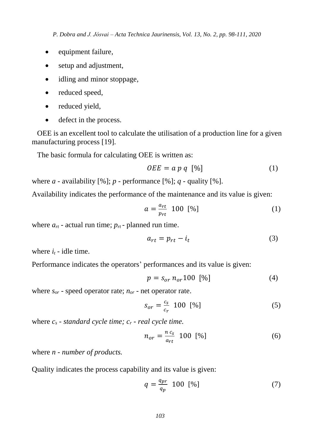- equipment failure,
- setup and adjustment,
- idling and minor stoppage,
- reduced speed.
- reduced yield,
- defect in the process.

OEE is an excellent tool to calculate the utilisation of a production line for a given manufacturing process [19].

The basic formula for calculating OEE is written as:

$$
OEE = a p q \, [%]
$$
 (1)

where  $a$  - availability  $[\%]$ ;  $p$  - performance  $[\%]$ ;  $q$  - quality  $[\%]$ .

Availability indicates the performance of the maintenance and its value is given:

$$
a = \frac{a_{rt}}{p_{rt}} 100 [%]
$$
 (1)

where  $a_{rt}$  - actual run time;  $p_{rt}$  - planned run time.

$$
a_{rt} = p_{rt} - i_t \tag{3}
$$

where  $i_t$  - idle time.

Performance indicates the operators' performances and its value is given:

$$
p = s_{or} n_{or} 100 [%]
$$
 (4)

where *sor* - speed operator rate; *nor* - net operator rate.

$$
S_{or} = \frac{c_s}{c_r} 100 \, [\%]
$$

where  $c_s$  *- standard cycle time;*  $c_r$  *- real cycle time.* 

$$
n_{or} = \frac{n c_s}{a_{rt}} 100 [%]
$$
 (6)

where *n - number of products.*

Quality indicates the process capability and its value is given:

$$
q = \frac{q_{pr}}{q_p} \quad 100 \quad [\%]
$$
\n<sup>(7)</sup>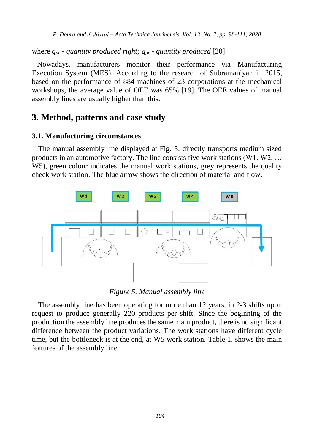where  $q_{pr}$  *- quantity produced right;*  $q_{pr}$  *- quantity produced* [20].

Nowadays, manufacturers monitor their performance via Manufacturing Execution System (MES). According to the research of Subramaniyan in 2015, based on the performance of 884 machines of 23 corporations at the mechanical workshops, the average value of OEE was 65% [19]. The OEE values of manual assembly lines are usually higher than this.

# **3. Method, patterns and case study**

## **3.1. Manufacturing circumstances**

The manual assembly line displayed at Fig. 5. directly transports medium sized products in an automotive factory. The line consists five work stations  $(W1, W2, \ldots)$ W5), green colour indicates the manual work stations, grey represents the quality check work station. The blue arrow shows the direction of material and flow.



*Figure 5. Manual assembly line*

The assembly line has been operating for more than 12 years, in 2-3 shifts upon request to produce generally 220 products per shift. Since the beginning of the production the assembly line produces the same main product, there is no significant difference between the product variations. The work stations have different cycle time, but the bottleneck is at the end, at W5 work station. Table 1. shows the main features of the assembly line.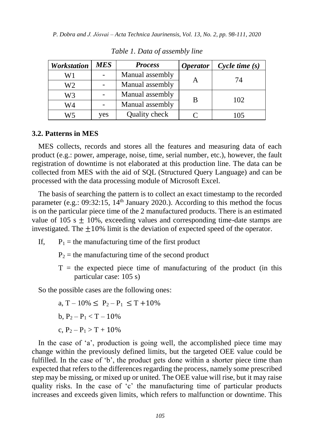| <b>Workstation</b> | MES | <b>Process</b>  | <i><b>Operator</b></i> | $Cycle$ time $(s)$ |
|--------------------|-----|-----------------|------------------------|--------------------|
| W1                 |     | Manual assembly |                        | 74                 |
| W2                 |     | Manual assembly |                        |                    |
| W3                 |     | Manual assembly | В                      | 102                |
| W4                 |     | Manual assembly |                        |                    |
| W5                 | yes | Quality check   |                        | 105                |

*Table 1. Data of assembly line*

#### **3.2. Patterns in MES**

MES collects, records and stores all the features and measuring data of each product (e.g.: power, amperage, noise, time, serial number, etc.), however, the fault registration of downtime is not elaborated at this production line. The data can be collected from MES with the aid of SQL (Structured Query Language) and can be processed with the data processing module of Microsoft Excel.

The basis of searching the pattern is to collect an exact timestamp to the recorded parameter (e.g.:  $09:32:15$ ,  $14<sup>th</sup>$  January 2020.). According to this method the focus is on the particular piece time of the 2 manufactured products. There is an estimated value of 105 s  $\pm$  10%, exceeding values and corresponding time-date stamps are investigated. The  $\pm 10\%$  limit is the deviation of expected speed of the operator.

- If,  $P_1$  = the manufacturing time of the first product
	- $P_2$  = the manufacturing time of the second product
	- $T =$  the expected piece time of manufacturing of the product (in this particular case: 105 s)

So the possible cases are the following ones:

a, T – 10%  $\leq P_2 - P_1 \leq T + 10\%$ b,  $P_2 - P_1 < T - 10\%$ c,  $P_2 - P_1 > T + 10\%$ 

In the case of 'a', production is going well, the accomplished piece time may change within the previously defined limits, but the targeted OEE value could be fulfilled. In the case of 'b', the product gets done within a shorter piece time than expected that refers to the differences regarding the process, namely some prescribed step may be missing, or mixed up or united. The OEE value will rise, but it may raise quality risks. In the case of 'c' the manufacturing time of particular products increases and exceeds given limits, which refers to malfunction or downtime. This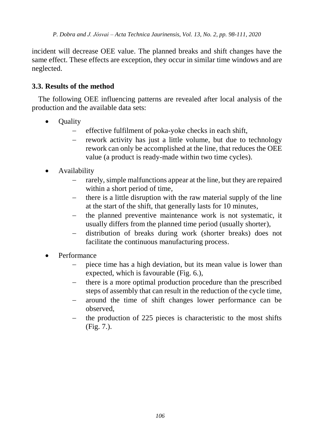incident will decrease OEE value. The planned breaks and shift changes have the same effect. These effects are exception, they occur in similar time windows and are neglected.

## **3.3. Results of the method**

The following OEE influencing patterns are revealed after local analysis of the production and the available data sets:

- **Quality** 
	- effective fulfilment of poka-yoke checks in each shift,
	- rework activity has just a little volume, but due to technology rework can only be accomplished at the line, that reduces the OEE value (a product is ready-made within two time cycles).
- Availability
	- rarely, simple malfunctions appear at the line, but they are repaired within a short period of time,
	- $\theta$  there is a little disruption with the raw material supply of the line at the start of the shift, that generally lasts for 10 minutes,
	- the planned preventive maintenance work is not systematic, it usually differs from the planned time period (usually shorter),
	- distribution of breaks during work (shorter breaks) does not facilitate the continuous manufacturing process.
- Performance
	- piece time has a high deviation, but its mean value is lower than expected, which is favourable (Fig. 6.),
	- there is a more optimal production procedure than the prescribed steps of assembly that can result in the reduction of the cycle time,
	- around the time of shift changes lower performance can be observed,
	- the production of 225 pieces is characteristic to the most shifts (Fig. 7.).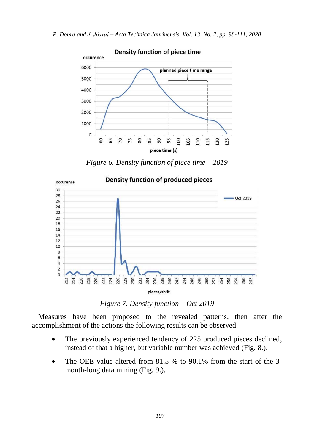

*Figure 6. Density function of piece time – 2019*



*Figure 7. Density function – Oct 2019*

Measures have been proposed to the revealed patterns, then after the accomplishment of the actions the following results can be observed.

- The previously experienced tendency of 225 produced pieces declined, instead of that a higher, but variable number was achieved (Fig. 8.).
- The OEE value altered from 81.5 % to 90.1% from the start of the 3 month-long data mining (Fig. 9.).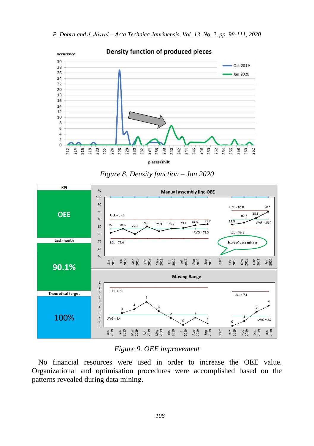



*Figure 8. Density function – Jan 2020*



#### *Figure 9. OEE improvement*

No financial resources were used in order to increase the OEE value. Organizational and optimisation procedures were accomplished based on the patterns revealed during data mining.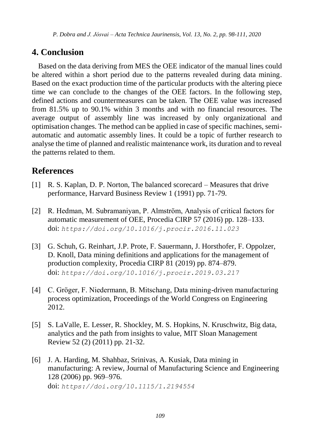# **4. Conclusion**

Based on the data deriving from MES the OEE indicator of the manual lines could be altered within a short period due to the patterns revealed during data mining. Based on the exact production time of the particular products with the altering piece time we can conclude to the changes of the OEE factors. In the following step, defined actions and countermeasures can be taken. The OEE value was increased from 81.5% up to 90.1% within 3 months and with no financial resources. The average output of assembly line was increased by only organizational and optimisation changes. The method can be applied in case of specific machines, semiautomatic and automatic assembly lines. It could be a topic of further research to analyse the time of planned and realistic maintenance work, its duration and to reveal the patterns related to them.

# **References**

- [1] R. S. Kaplan, D. P. Norton, The balanced scorecard Measures that drive performance, Harvard Business Review 1 (1991) pp. 71-79.
- [2] R. Hedman, M. Subramaniyan, P. Almström, Analysis of critical factors for automatic measurement of OEE, Procedia CIRP 57 (2016) pp. 128–133. doi: *<https://doi.org/10.1016/j.procir.2016.11.023>*
- [3] G. Schuh, G. Reinhart, J.P. Prote, F. Sauermann, J. Horsthofer, F. Oppolzer, D. Knoll, Data mining definitions and applications for the management of production complexity, Procedia CIRP 81 (2019) pp. 874–879. doi: *<https://doi.org/10.1016/j.procir.2019.03.217>*
- [4] C. Gröger, F. Niedermann, B. Mitschang, Data mining-driven manufacturing process optimization, Proceedings of the World Congress on Engineering 2012.
- [5] S. LaValle, E. Lesser, R. Shockley, M. S. Hopkins, N. Kruschwitz, Big data, analytics and the path from insights to value, MIT Sloan Management Review 52 (2) (2011) pp. 21-32.
- [6] J. A. Harding, M. Shahbaz, Srinivas, A. Kusiak, Data mining in manufacturing: A review, Journal of Manufacturing Science and Engineering 128 (2006) pp. 969–976. doi: *<https://doi.org/10.1115/1.2194554>*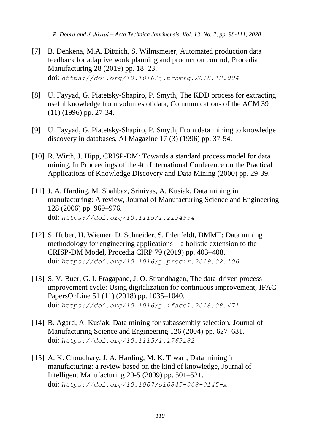- [7] B. Denkena, M.A. Dittrich, S. Wilmsmeier, Automated production data feedback for adaptive work planning and production control, Procedia Manufacturing 28 (2019) pp. 18–23. doi: *<https://doi.org/10.1016/j.promfg.2018.12.004>*
- [8] U. Fayyad, G. Piatetsky-Shapiro, P. Smyth, The KDD process for extracting useful knowledge from volumes of data, Communications of the ACM 39 (11) (1996) pp. 27-34.
- [9] U. Fayyad, G. Piatetsky-Shapiro, P. Smyth, From data mining to knowledge discovery in databases, AI Magazine 17 (3) (1996) pp. 37-54.
- [10] R. Wirth, J. Hipp, CRISP-DM: Towards a standard process model for data mining, In Proceedings of the 4th International Conference on the Practical Applications of Knowledge Discovery and Data Mining (2000) pp. 29-39.
- [11] J. A. Harding, M. Shahbaz, Srinivas, A. Kusiak, Data mining in manufacturing: A review, Journal of Manufacturing Science and Engineering 128 (2006) pp. 969–976. doi: *<https://doi.org/10.1115/1.2194554>*
- [12] S. Huber, H. Wiemer, D. Schneider, S. Ihlenfeldt, DMME: Data mining methodology for engineering applications – a holistic extension to the CRISP-DM Model, Procedia CIRP 79 (2019) pp. 403–408. doi: *<https://doi.org/10.1016/j.procir.2019.02.106>*
- [13] S. V. Buer, G. I. Fragapane, J. O. Strandhagen, The data-driven process improvement cycle: Using digitalization for continuous improvement, IFAC PapersOnLine 51 (11) (2018) pp. 1035–1040. doi: *<https://doi.org/10.1016/j.ifacol.2018.08.471>*
- [14] B. Agard, A. Kusiak, Data mining for subassembly selection, Journal of Manufacturing Science and Engineering 126 (2004) pp. 627–631. doi: *<https://doi.org/10.1115/1.1763182>*
- [15] A. K. Choudhary, J. A. Harding, M. K. Tiwari, Data mining in manufacturing: a review based on the kind of knowledge, Journal of Intelligent Manufacturing 20-5 (2009) pp. 501–521. doi: *<https://doi.org/10.1007/s10845-008-0145-x>*